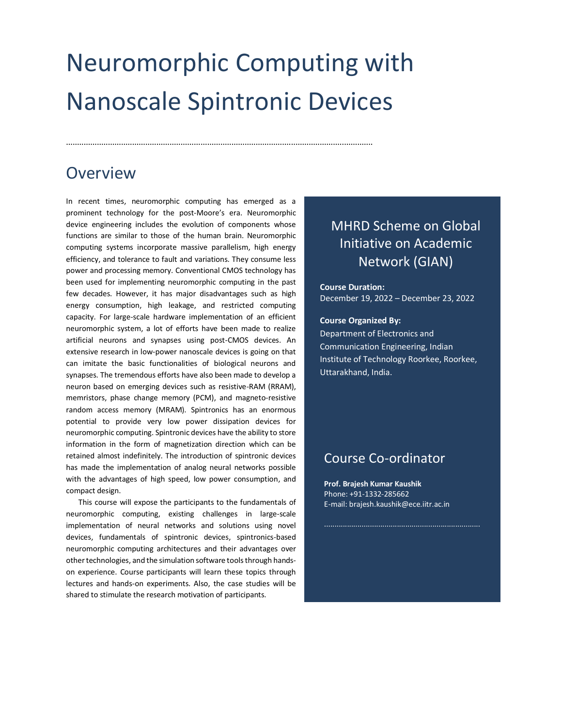# Neuromorphic Computing with Nanoscale Spintronic Devices

...........................................................................................................................................

### **Overview**

In recent times, neuromorphic computing has emerged as a prominent technology for the post-Moore's era. Neuromorphic device engineering includes the evolution of components whose functions are similar to those of the human brain. Neuromorphic computing systems incorporate massive parallelism, high energy efficiency, and tolerance to fault and variations. They consume less power and processing memory. Conventional CMOS technology has been used for implementing neuromorphic computing in the past few decades. However, it has major disadvantages such as high energy consumption, high leakage, and restricted computing capacity. For large-scale hardware implementation of an efficient neuromorphic system, a lot of efforts have been made to realize artificial neurons and synapses using post-CMOS devices. An extensive research in low-power nanoscale devices is going on that can imitate the basic functionalities of biological neurons and synapses. The tremendous efforts have also been made to develop a neuron based on emerging devices such as resistive-RAM (RRAM), memristors, phase change memory (PCM), and magneto-resistive random access memory (MRAM). Spintronics has an enormous potential to provide very low power dissipation devices for neuromorphic computing. Spintronic devices have the ability to store information in the form of magnetization direction which can be retained almost indefinitely. The introduction of spintronic devices has made the implementation of analog neural networks possible with the advantages of high speed, low power consumption, and compact design.

This course will expose the participants to the fundamentals of neuromorphic computing, existing challenges in large-scale implementation of neural networks and solutions using novel devices, fundamentals of spintronic devices, spintronics-based neuromorphic computing architectures and their advantages over other technologies, and the simulation software tools through handson experience. Course participants will learn these topics through lectures and hands-on experiments. Also, the case studies will be shared to stimulate the research motivation of participants.

### MHRD Scheme on Global Initiative on Academic Network (GIAN)

**Course Duration:**  December 19, 2022 – December 23, 2022

#### **Course Organized By:**

Department of Electronics and Communication Engineering, Indian Institute of Technology Roorkee, Roorkee, Uttarakhand, India.

### Course Co-ordinator

**Prof. Brajesh Kumar Kaushik** Phone: +91-1332-285662 E-mail: brajesh.kaushik@ece.iitr.ac.in

...........................................................................